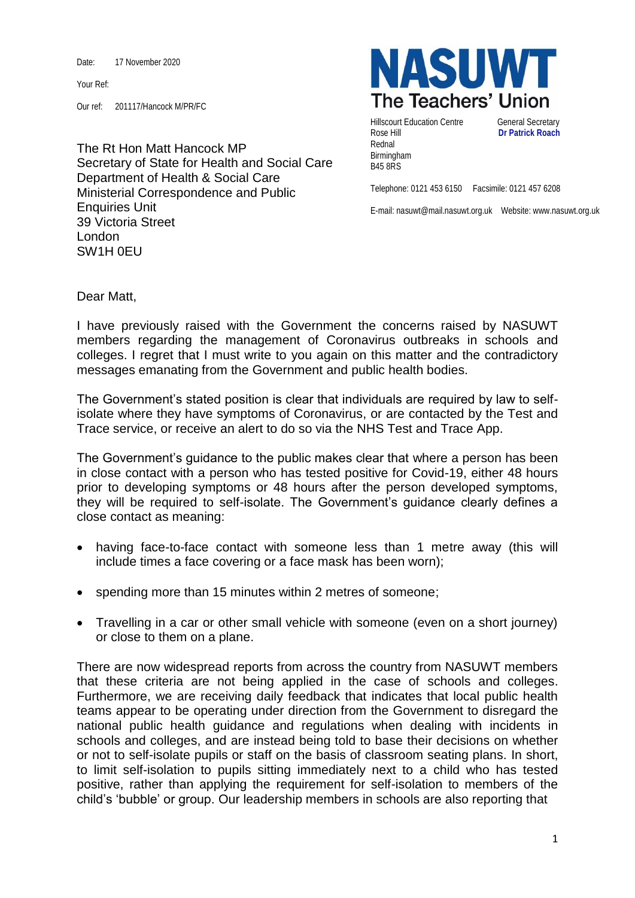Date: 17 November 2020

Your Ref:

Our ref: 201117/Hancock M/PR/FC

The Rt Hon Matt Hancock MP Secretary of State for Health and Social Care Department of Health & Social Care Ministerial Correspondence and Public Enquiries Unit 39 Victoria Street London SW1H 0EU



Hillscourt Education Centre **General Secretary** Rose Hill **Dr Patrick Roach** Rednal Birmingham B45 8RS

Telephone: 0121 453 6150 Facsimile: 0121 457 6208

E-mail: nasuwt@mail.nasuwt.org.uk Website: www.nasuwt.org.uk

Dear Matt,

I have previously raised with the Government the concerns raised by NASUWT members regarding the management of Coronavirus outbreaks in schools and colleges. I regret that I must write to you again on this matter and the contradictory messages emanating from the Government and public health bodies.

The Government's stated position is clear that individuals are required by law to selfisolate where they have symptoms of Coronavirus, or are contacted by the Test and Trace service, or receive an alert to do so via the NHS Test and Trace App.

The Government's guidance to the public makes clear that where a person has been in close contact with a person who has tested positive for Covid-19, either 48 hours prior to developing symptoms or 48 hours after the person developed symptoms, they will be required to self-isolate. The Government's guidance clearly defines a close contact as meaning:

- having face-to-face contact with someone less than 1 metre away (this will include times a face covering or a face mask has been worn);
- spending more than 15 minutes within 2 metres of someone;
- Travelling in a car or other small vehicle with someone (even on a short journey) or close to them on a plane.

There are now widespread reports from across the country from NASUWT members that these criteria are not being applied in the case of schools and colleges. Furthermore, we are receiving daily feedback that indicates that local public health teams appear to be operating under direction from the Government to disregard the national public health guidance and regulations when dealing with incidents in schools and colleges, and are instead being told to base their decisions on whether or not to self-isolate pupils or staff on the basis of classroom seating plans. In short, to limit self-isolation to pupils sitting immediately next to a child who has tested positive, rather than applying the requirement for self-isolation to members of the child's 'bubble' or group. Our leadership members in schools are also reporting that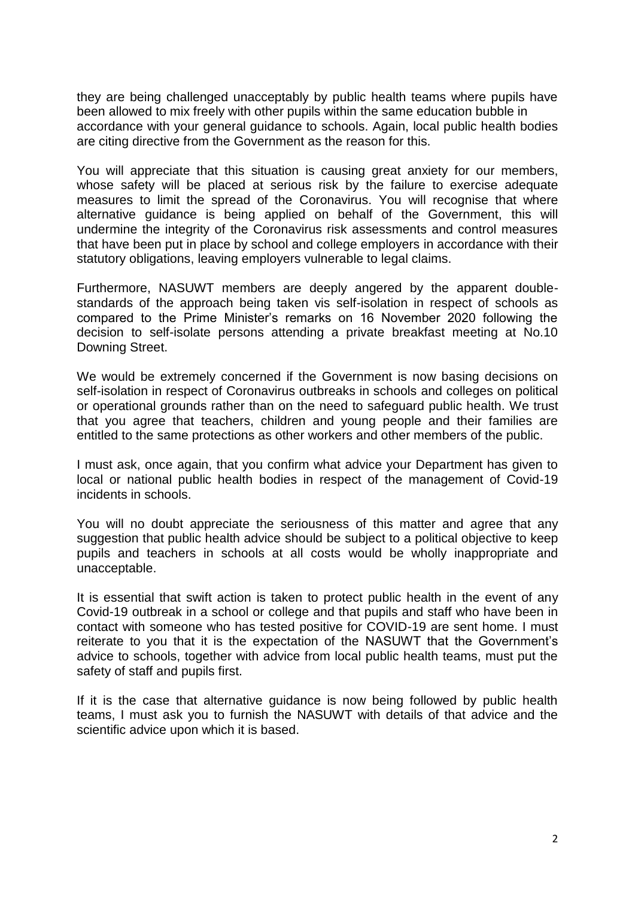they are being challenged unacceptably by public health teams where pupils have been allowed to mix freely with other pupils within the same education bubble in accordance with your general guidance to schools. Again, local public health bodies are citing directive from the Government as the reason for this.

You will appreciate that this situation is causing great anxiety for our members, whose safety will be placed at serious risk by the failure to exercise adequate measures to limit the spread of the Coronavirus. You will recognise that where alternative guidance is being applied on behalf of the Government, this will undermine the integrity of the Coronavirus risk assessments and control measures that have been put in place by school and college employers in accordance with their statutory obligations, leaving employers vulnerable to legal claims.

Furthermore, NASUWT members are deeply angered by the apparent doublestandards of the approach being taken vis self-isolation in respect of schools as compared to the Prime Minister's remarks on 16 November 2020 following the decision to self-isolate persons attending a private breakfast meeting at No.10 Downing Street.

We would be extremely concerned if the Government is now basing decisions on self-isolation in respect of Coronavirus outbreaks in schools and colleges on political or operational grounds rather than on the need to safeguard public health. We trust that you agree that teachers, children and young people and their families are entitled to the same protections as other workers and other members of the public.

I must ask, once again, that you confirm what advice your Department has given to local or national public health bodies in respect of the management of Covid-19 incidents in schools.

You will no doubt appreciate the seriousness of this matter and agree that any suggestion that public health advice should be subject to a political objective to keep pupils and teachers in schools at all costs would be wholly inappropriate and unacceptable.

It is essential that swift action is taken to protect public health in the event of any Covid-19 outbreak in a school or college and that pupils and staff who have been in contact with someone who has tested positive for COVID-19 are sent home. I must reiterate to you that it is the expectation of the NASUWT that the Government's advice to schools, together with advice from local public health teams, must put the safety of staff and pupils first.

If it is the case that alternative guidance is now being followed by public health teams, I must ask you to furnish the NASUWT with details of that advice and the scientific advice upon which it is based.